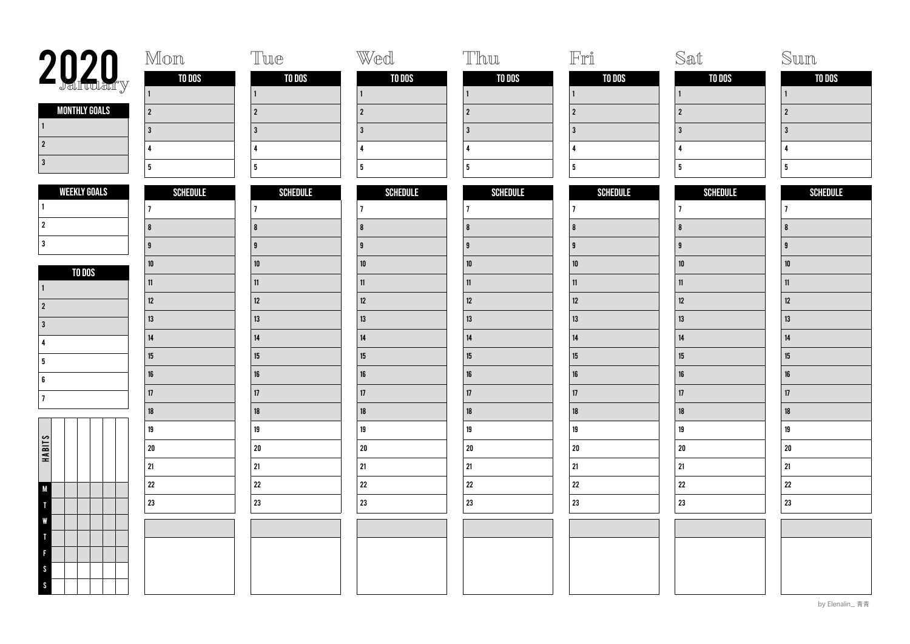| 2020 <sub>y</sub>                 | Mon             | Tue             | Wed             | Thu                     | $\mathbb{F}$ rî         | Sat             | Sun             |
|-----------------------------------|-----------------|-----------------|-----------------|-------------------------|-------------------------|-----------------|-----------------|
|                                   | TO DOS          | TO DOS          | TO DOS          | TO DOS                  | TO DOS                  | TO DOS          | TO DOS          |
|                                   |                 |                 | $\mathbf{1}$    | $\vert$ 1               | $\mathbf{1}$            | $\vert$ 1       | l 1             |
| <b>MONTHLY GOALS</b><br>$\vert$ 1 | $\vert$ 2       | $\overline{2}$  | $\overline{2}$  | $\overline{2}$          | $\overline{2}$          | $\overline{2}$  | $\overline{2}$  |
| $\vert$ 2                         | $\overline{3}$  | $\overline{3}$  | $\mathbf{3}$    | $\overline{3}$          | $\overline{\mathbf{3}}$ | $\overline{3}$  | $\overline{3}$  |
| 3                                 | $\overline{4}$  | $\overline{4}$  | 4               | $\pmb{\Lambda}$         | $\overline{\mathbf{4}}$ | $\overline{4}$  | $\mathbf{A}$    |
|                                   | 5               | 5               | 5 <sub>5</sub>  | $5\phantom{a}$          | $5\phantom{a}$          | $5\phantom{.0}$ | $5\phantom{.0}$ |
| <b>WEEKLY GOALS</b>               | <b>SCHEDULE</b> | <b>SCHEDULE</b> | <b>SCHEDULE</b> | <b>SCHEDULE</b>         | <b>SCHEDULE</b>         | <b>SCHEDULE</b> | <b>SCHEDULE</b> |
|                                   | $\overline{1}$  | $\overline{1}$  | $\overline{7}$  | $\overline{7}$          | 7                       | $\overline{7}$  | 17              |
| $\overline{2}$                    | $\vert$ 8       | 8               | 8               | $\overline{\mathbf{8}}$ | $\pmb{8}$               | $\pmb{8}$       | $\overline{8}$  |
| 3                                 | 9               | $\overline{9}$  | $\overline{9}$  | <b>g</b>                | <b>g</b>                | $\overline{9}$  | $\mathbf{q}$    |
| TO DOS                            | ${\bf 10}$      | $10\,$          | 10              | $10\,$                  | ${\bf 10}$              | $10\,$          | $10\,$          |
| ∣ 1                               | 11              | 11              | 11              | 11                      | $11\,$                  | 11              | 11              |
| $\vert$ 2                         | $12\,$          | 12              | 12              | $12\,$                  | 12                      | 12              | 12              |
| l 3                               | $13\,$          | 13              | 13              | 13                      | $13\,$                  | 13              | 13              |
| $\mathbf{A}$                      | 14              | $14\,$          | $14\,$          | $14\,$                  | $14\,$                  | $14\,$          | 14              |
| 5                                 | 15              | 15              | 15              | $15\,$                  | $15\,$                  | 15              | 15              |
| 6                                 | $16\,$          | 16              | 16              | $16\,$                  | 16                      | $16\,$          | 16              |
| 17                                | 17              | 17              | 17              | 17                      | $17\,$                  | 17              | 17              |
|                                   | $18\,$          | 18              | 18              | $18\,$                  | 18                      | $18\,$          | 18              |
|                                   | 19              | 19              | 19              | 19                      | 19                      | $19\,$          | 19              |
| HABITS                            | 20              | 20              | $20\,$          | $20\,$                  | ${\bf 20}$              | ${\bf 20}$      | ${\bf 20}$      |
|                                   | 21              | 21              | 21              | 21                      | $21\,$                  | $21\,$          | 21              |
| <b>M</b>                          | 22              | 22              | $22\,$          | 22                      | $22\,$                  | ${\bf 22}$      | $\bf 22$        |
|                                   | 23              | 23              | 23              | 23                      | 23                      | ${\bf 23}$      | 23              |
| W                                 |                 |                 |                 |                         |                         |                 |                 |
|                                   |                 |                 |                 |                         |                         |                 |                 |
|                                   |                 |                 |                 |                         |                         |                 |                 |
| <sub>S</sub>                      |                 |                 |                 |                         |                         |                 |                 |
| $\mathcal{S}$                     |                 |                 |                 |                         |                         |                 |                 |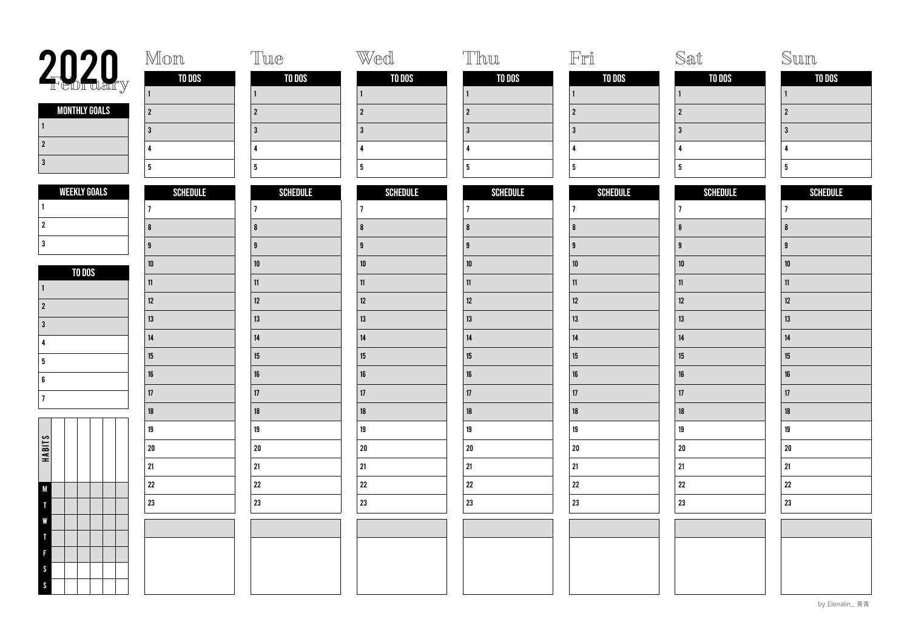| 2020 <sub>y</sub>         | Mon                     | Tue             | Wed             | Thu             | $\mathbb{F}\mathbb{r}\r$ | Sat                     | Sun             |
|---------------------------|-------------------------|-----------------|-----------------|-----------------|--------------------------|-------------------------|-----------------|
|                           | TO DOS                  | TO DOS          | TO DOS          | TO DOS          | TO DOS                   | TO DOS                  | TO DOS          |
|                           |                         | $\mathbf{1}$    | $\vert$ 1       | $\vert$ 1       |                          | 1                       | l 1             |
| <b>MONTHLY GOALS</b><br>1 | $\vert$ 2               | $\overline{2}$  | $\sqrt{2}$      | $\overline{2}$  | $\overline{2}$           | $2^{\circ}$             | $\overline{2}$  |
| $\vert$ 2                 | $\overline{3}$          | $\overline{3}$  | $\mathbf{3}$    | $\overline{3}$  | $\overline{3}$           | $\mathbf{3}$            | l 3             |
| $\vert$ 3                 | $\overline{4}$          | $\mathbf{A}$    | 4               | $\overline{4}$  | $\overline{\mathbf{4}}$  | $\overline{\mathbf{4}}$ | $\mathbf{A}$    |
|                           | 5                       | 5 <sub>5</sub>  | 5               | $5\overline{5}$ | 5 <sup>1</sup>           | 5 <sub>5</sub>          | 5               |
| <b>WEEKLY GOALS</b>       | <b>SCHEDULE</b>         | <b>SCHEDULE</b> | <b>SCHEDULE</b> | <b>SCHEDULE</b> | <b>SCHEDULE</b>          | <b>SCHEDULE</b>         | <b>SCHEDULE</b> |
|                           | $\overline{1}$          | $\overline{1}$  | $\overline{7}$  | $ 7\rangle$     | $\overline{7}$           | $\overline{7}$          | 17              |
| $\vert$ 2                 | $\overline{\mathbf{8}}$ | 8               | 8               | 8               | $\pmb{8}$                | $\bf{8}$                | 8               |
| $\overline{\mathbf{3}}$   | $\overline{9}$          | $\overline{9}$  | $\overline{9}$  | <b>g</b>        | $\overline{9}$           | $\overline{9}$          | -9              |
| TO DOS                    | $10\,$                  | $10$            | 10              | $10\,$          | $10\,$                   | $10\,$                  | 10              |
| $\mathbf{1}$              | 11                      | 11              | 11              | 11              | 11                       | 11                      | 11              |
| $\vert$ 2                 | 12                      | 12              | $12\,$          | $12\,$          | 12                       | 12                      | 12              |
| $\overline{3}$            | 13                      | 13              | $13\,$          | $13\,$          | $13\,$                   | 13                      | 13              |
| $\boldsymbol{\Lambda}$    | $14\,$                  | 14              | 14              | $14\,$          | 14                       | $14\,$                  | 14              |
| 5                         | 15                      | 15              | $15\,$          | $15\,$          | $15\,$                   | 15                      | 15              |
| 6                         | $16\,$                  | $16\,$          | $16\,$          | $16\,$          | 16                       | 16                      | 16              |
| $\overline{7}$            | 17                      | 17              | 17              | 17              | $17\,$                   | 17                      | 17              |
|                           | $18\,$                  | 18              | $18\,$          | $18\,$          | 18                       | 18                      | 18              |
|                           | 19                      | 19              | 19              | 19              | 19                       | 19                      | $19\,$          |
| HABITS                    | 20                      | ${\bf 20}$      | $20\,$          | ${\bf 20}$      | ${\bf 20}$               | ${\bf 20}$              | $20\,$          |
|                           | 21                      | 21              | 21              | $21$            | $21\,$                   | 21                      | 21              |
| $\mathsf{M}$              | 22                      | $\bf 22$        | 22              | 22              | ${\bf 22}$               | ${\bf 22}$              | $22\,$          |
|                           | 23                      | 23              | 23              | 23              | $23\,$                   | 23                      | 23              |
|                           |                         |                 |                 |                 |                          |                         |                 |
|                           |                         |                 |                 |                 |                          |                         |                 |
|                           |                         |                 |                 |                 |                          |                         |                 |
| <sub>S</sub><br>$\sim$    |                         |                 |                 |                 |                          |                         |                 |
|                           |                         |                 |                 |                 |                          |                         |                 |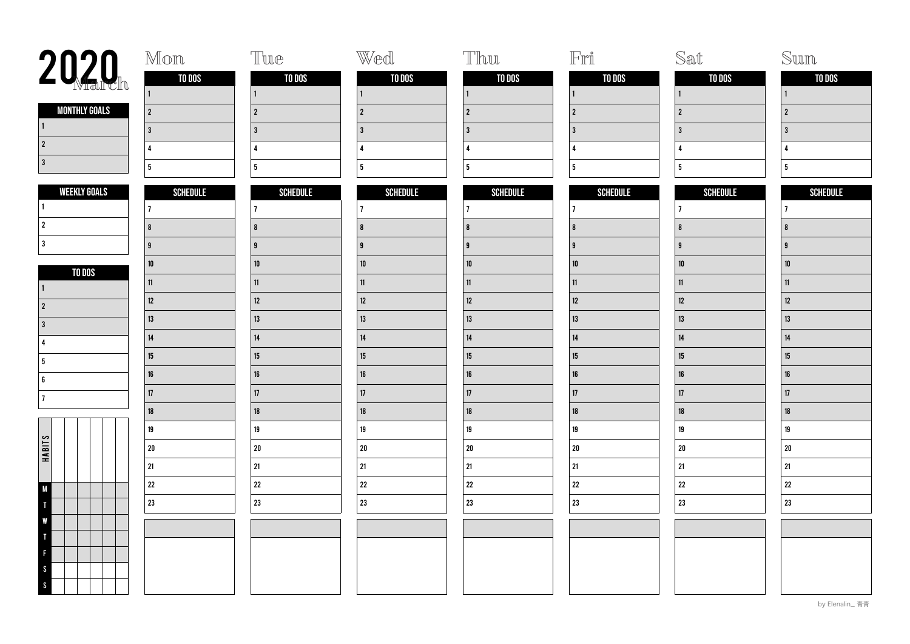| 2020 <sub>h</sub>                 | Mon             | Tue                     | Wed             | Thu                     | $\mathbb{F}\mathbb{r}\r\mathbb{I}$ | Sat              | Sum                     |
|-----------------------------------|-----------------|-------------------------|-----------------|-------------------------|------------------------------------|------------------|-------------------------|
|                                   | TO DOS          | TO DOS                  | TO DOS          | <b>TO DOS</b>           | TO DOS                             | TO DOS           | TO DOS                  |
|                                   | $\mathbf{1}$    | $\mathbf{1}$            | $\mathbf{1}$    | $\vert$ 1               | $\mathbf{1}$                       | $\mathbf{1}$     | $\vert$ 1               |
| <b>MONTHLY GOALS</b><br>$\vert$ 1 | $\overline{2}$  | $\overline{2}$          | $\overline{2}$  | $\overline{2}$          | $\overline{2}$                     | $\overline{2}$   | $\overline{2}$          |
| $\vert$ 2                         | 3               | $\overline{3}$          | $\overline{3}$  | 3                       | $\overline{3}$                     | $\overline{3}$   | $\overline{3}$          |
| 3                                 | $\overline{4}$  | $\overline{4}$          | 4               | $\overline{\mathbf{A}}$ | $\overline{4}$                     | $\overline{4}$   | $\mathbf{A}$            |
|                                   | 5               | $\overline{\mathbf{5}}$ | 5 <sub>5</sub>  | $5\phantom{a}$          | $5\phantom{a}$                     | $5\phantom{a}$   | $5\phantom{.0}$         |
| <b>WEEKLY GOALS</b>               | <b>SCHEDULE</b> | <b>SCHEDULE</b>         | <b>SCHEDULE</b> | <b>SCHEDULE</b>         | <b>SCHEDULE</b>                    | <b>SCHEDULE</b>  | <b>SCHEDULE</b>         |
|                                   | $\overline{7}$  | $\overline{1}$          | $\overline{1}$  | $\overline{7}$          | $\overline{7}$                     | $\overline{7}$   | 17                      |
| $\vert$ 2                         | $\vert$ 8       | 8                       | 8               | $\overline{\mathbf{8}}$ | $\pmb{8}$                          | $\boldsymbol{8}$ | $\overline{\mathbf{8}}$ |
| l 3                               | 9               | <b>g</b>                | $\mathbf{g}$    | g                       | 9                                  | $\overline{9}$   | $\mathbf{q}$            |
| TO DOS                            | ${\bf 10}$      | ${\bf 10}$              | ${\bf 10}$      | ${\bf 10}$              | ${\bf 10}$                         | $10\,$           | ${\bf 10}$              |
| 1                                 | 11              | 11                      | 11              | 11                      | 11                                 | $11$             | 11                      |
| $\overline{2}$                    | 12              | 12                      | $12\,$          | 12                      | $12\,$                             | $12\,$           | 12                      |
| l 3                               | 13              | 13                      | 13              | 13                      | 13                                 | 13               | 13                      |
| 4                                 | 14              | 14                      | 14              | 14                      | $14\,$                             | $14$             | 14                      |
| 5                                 | $15\,$          | 15                      | 15              | $15\,$                  | $15\,$                             | 15               | 15                      |
| 6                                 | $16\,$          | $16\,$                  | $16\,$          | $16\,$                  | 16                                 | $16\,$           | 16                      |
| 17                                | 17              | 17                      | 17              | 17                      | 17                                 | 17               | 17                      |
|                                   | $18\,$          | 18                      | 18              | $18\,$                  | 18                                 | $18\,$           | $18\,$                  |
|                                   | 19              | 19                      | 19              | $19\,$                  | 19                                 | $19\,$           | $19\,$                  |
| HABITS                            | 20              | 20                      | ${\bf 20}$      | $20\,$                  | ${\bf 20}$                         | ${\bf 20}$       | ${\bf 20}$              |
|                                   | 21              | 21                      | 21              | 21                      | $21\,$                             | $21\,$           | 21                      |
| $\mathsf{M}$                      | 22              | 22                      | 22              | 22                      | $22\,$                             | ${\bf 22}$       | $\bf 22$                |
|                                   | 23              | 23                      | 23              | 23                      | 23                                 | ${\bf 23}$       | 23                      |
| W                                 |                 |                         |                 |                         |                                    |                  |                         |
|                                   |                 |                         |                 |                         |                                    |                  |                         |
| F                                 |                 |                         |                 |                         |                                    |                  |                         |
| <sub>S</sub>                      |                 |                         |                 |                         |                                    |                  |                         |
| $\mathsf{S}$                      |                 |                         |                 |                         |                                    |                  |                         |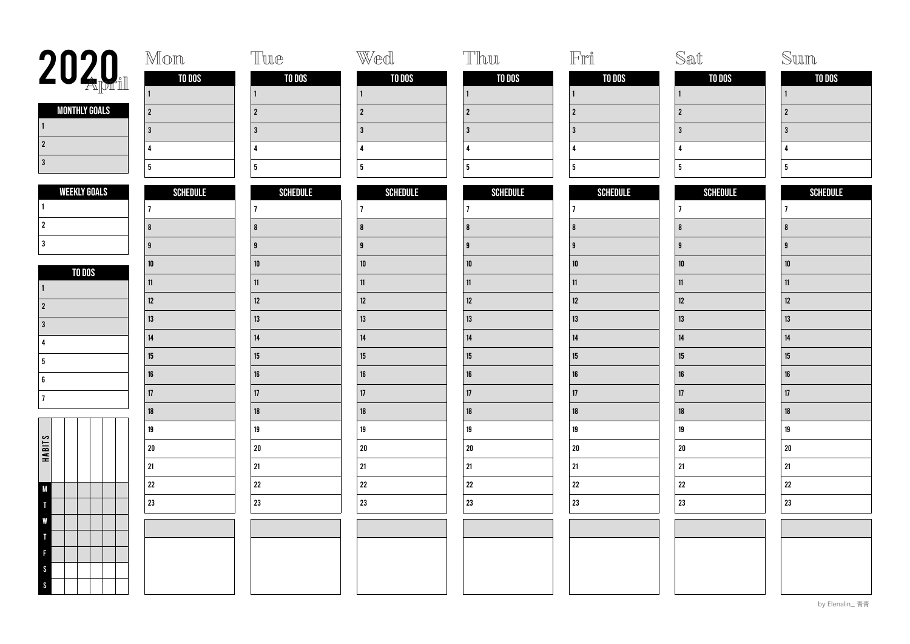| 2020                              | Mon             | Tue                     | Wed             | Thu                     | $\mathbb{F}\mathbb{r}\r\mathbb{I}$ | Sat              | Sum             |
|-----------------------------------|-----------------|-------------------------|-----------------|-------------------------|------------------------------------|------------------|-----------------|
|                                   | TO DOS          | TO DOS                  | TO DOS          | TO DOS                  | TO DOS                             | TO DOS           | TO DOS          |
|                                   | $\mathbf{1}$    | $\mathbf{1}$            | $\mathbf{1}$    | $\vert$ 1               | $\mathbf{1}$                       | $\mathbf{1}$     | $\vert$ 1       |
| <b>MONTHLY GOALS</b><br>$\vert$ 1 | $\overline{2}$  | $\overline{2}$          | $\overline{2}$  | $\overline{2}$          | $\overline{2}$                     | $\overline{2}$   | $\overline{2}$  |
| $\vert$ 2                         | 3               | $\overline{3}$          | $\overline{3}$  | 3                       | $\overline{3}$                     | $\overline{3}$   | $\overline{3}$  |
| 3                                 | $\overline{4}$  | $\overline{4}$          | 4               | $\overline{\mathbf{A}}$ | $\overline{4}$                     | $\overline{4}$   | $\mathbf{A}$    |
|                                   | 5               | $\overline{\mathbf{5}}$ | 5 <sub>5</sub>  | $5\phantom{a}$          | $5\phantom{a}$                     | $5\phantom{a}$   | $5\phantom{.0}$ |
| <b>WEEKLY GOALS</b>               | <b>SCHEDULE</b> | <b>SCHEDULE</b>         | <b>SCHEDULE</b> | <b>SCHEDULE</b>         | <b>SCHEDULE</b>                    | <b>SCHEDULE</b>  | <b>SCHEDULE</b> |
|                                   | $\overline{7}$  | $\overline{1}$          | $\overline{1}$  | $\overline{7}$          | $\overline{7}$                     | $\overline{7}$   | 17              |
| $\vert$ 2                         | $\vert$ 8       | 8                       | 8               | $\overline{\mathbf{8}}$ | $\pmb{8}$                          | $\boldsymbol{8}$ | $\overline{8}$  |
| l 3                               | 9               | 9                       | $\mathbf{g}$    | g                       | 9                                  | $\overline{9}$   | $\mathbf{q}$    |
| TO DOS                            | ${\bf 10}$      | ${\bf 10}$              | ${\bf 10}$      | ${\bf 10}$              | ${\bf 10}$                         | $10\,$           | ${\bf 10}$      |
| 1                                 | $11$            | 11                      | 11              | 11                      | 11                                 | 11               | 11              |
| $\overline{2}$                    | 12              | 12                      | $12\,$          | 12                      | $12\,$                             | $12\,$           | 12              |
| l 3                               | 13              | 13                      | 13              | 13                      | 13                                 | $13$             | 13              |
| ∣4                                | 14              | 14                      | 14              | 14                      | $14\,$                             | $14$             | 14              |
| 5                                 | $15\,$          | 15                      | 15              | $15\,$                  | $15\,$                             | 15               | 15              |
| 6                                 | $16\,$          | $16\,$                  | $16\,$          | $16\,$                  | 16                                 | $16\,$           | 16              |
| 17                                | 17              | 17                      | 17              | 17                      | 17                                 | 17               | 17              |
|                                   | $18\,$          | 18                      | 18              | $18\,$                  | 18                                 | $18\,$           | $18\,$          |
|                                   | 19              | 19                      | 19              | $19\,$                  | 19                                 | $19\,$           | 19              |
| HABITS                            | 20              | 20                      | ${\bf 20}$      | $20\,$                  | ${\bf 20}$                         | ${\bf 20}$       | ${\bf 20}$      |
|                                   | 21              | 21                      | 21              | 21                      | $21\,$                             | $21\,$           | 21              |
| M                                 | 22              | 22                      | $\bf 22$        | $22\,$                  | $22\,$                             | ${\bf 22}$       | $\bf 22$        |
|                                   | 23              | 23                      | 23              | 23                      | 23                                 | 23               | 23              |
| W                                 |                 |                         |                 |                         |                                    |                  |                 |
|                                   |                 |                         |                 |                         |                                    |                  |                 |
| F                                 |                 |                         |                 |                         |                                    |                  |                 |
| <sub>S</sub><br>$\mathsf{S}$      |                 |                         |                 |                         |                                    |                  |                 |
|                                   |                 |                         |                 |                         |                                    |                  |                 |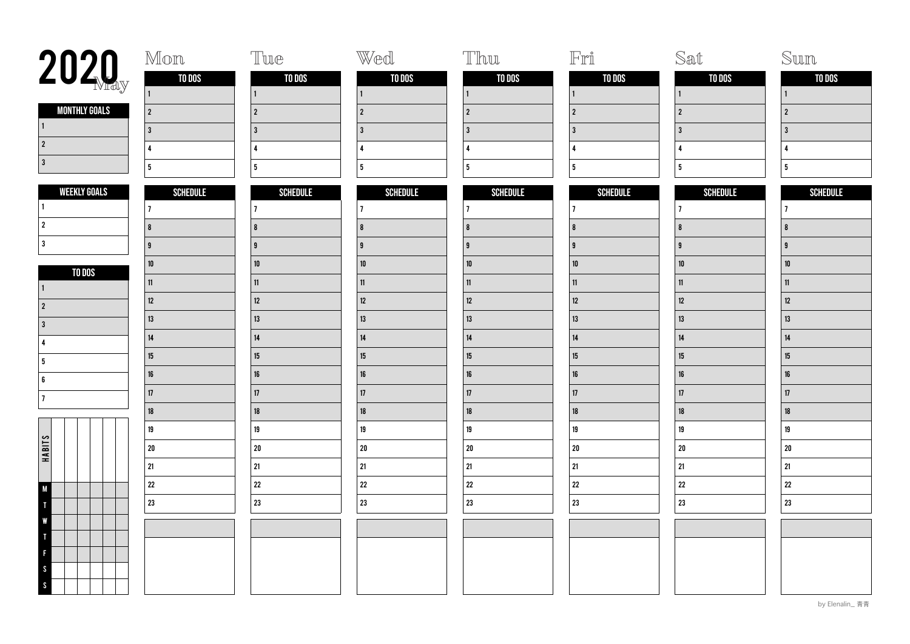| 2020                         | Mon             | Tue             | Wed             | Thu                     | $\mathbb{F}\mathbb{r}\r\mathbb{I}$ | Sat              | $\mathbb{S}\mathbb{u}\mathbb{m}$ |
|------------------------------|-----------------|-----------------|-----------------|-------------------------|------------------------------------|------------------|----------------------------------|
|                              | TO DOS          | TO DOS          | TO DOS          | TO DOS                  | TO DOS                             | TO DOS           | TO DOS                           |
|                              | $\overline{1}$  | $\mathbf{1}$    | $\mathbf{1}$    | $\vert$ 1               | $\mathbf{1}$                       | $\mathbf{1}$     |                                  |
| <b>MONTHLY GOALS</b><br>  1  | $\overline{2}$  | $\overline{2}$  | $\overline{2}$  | $\overline{2}$          | $\overline{2}$                     | $\overline{2}$   | $\overline{2}$                   |
| $\vert$ 2                    | 3               | $\overline{3}$  | $\overline{3}$  | $\overline{3}$          | $\overline{3}$                     | $\overline{3}$   | $\overline{3}$                   |
| 3                            | $\overline{4}$  | $\overline{4}$  | 4               | $\overline{\mathbf{A}}$ | 4                                  | $\overline{4}$   | $\mathbf{A}$                     |
|                              | 5               | 5               | 5 <sub>5</sub>  | $5\phantom{a}$          | $5\phantom{a}$                     | $5\phantom{a}$   | $5\phantom{.0}$                  |
| <b>WEEKLY GOALS</b>          | <b>SCHEDULE</b> | <b>SCHEDULE</b> | <b>SCHEDULE</b> | <b>SCHEDULE</b>         | <b>SCHEDULE</b>                    | <b>SCHEDULE</b>  | <b>SCHEDULE</b>                  |
|                              | $\overline{7}$  | $\overline{1}$  | $\overline{1}$  | $\overline{7}$          | $\overline{7}$                     | $\overline{7}$   | 17                               |
| $\overline{2}$               | $\vert$ 8       | 8               | 8               | $\boldsymbol{8}$        | $\pmb{8}$                          | $\boldsymbol{8}$ | $\overline{8}$                   |
| l 3                          | 9               | <b>g</b>        | $\mathbf{g}$    | g                       | 9                                  | $\mathbf{g}$     | $\mathbf{q}$                     |
| TO DOS                       | ${\bf 10}$      | ${\bf 10}$      | ${\bf 10}$      | ${\bf 10}$              | ${\bf 10}$                         | $10\,$           | ${\bf 10}$                       |
|                              | 11              | 11              | 11              | 11                      | 11                                 | 11               | 11                               |
| $\overline{2}$               | 12              | 12              | $12\,$          | 12                      | $12\,$                             | $12\,$           | 12                               |
| l 3                          | 13              | 13              | 13              | 13                      | 13                                 | 13               | 13                               |
| ∣4                           | 14              | 14              | 14              | 14                      | $14\,$                             | $14$             | 14                               |
| 5                            | $15\,$          | 15              | 15              | $15\,$                  | $15\,$                             | 15               | 15                               |
| 6                            | $16\,$          | $16\,$          | $16\,$          | $16\,$                  | 16                                 | $16\,$           | 16                               |
| 17                           | 17              | 17              | 17              | 17                      | 17                                 | 17               | 17                               |
|                              | $18\,$          | 18              | 18              | $18\,$                  | 18                                 | $18\,$           | $18\,$                           |
|                              | 19              | 19              | 19              | $19\,$                  | 19                                 | 19               | 19                               |
| HABITS                       | 20              | 20              | ${\bf 20}$      | $20\,$                  | ${\bf 20}$                         | $20\,$           | ${\bf 20}$                       |
|                              | 21              | 21              | 21              | 21                      | $21\,$                             | $21\,$           | 21                               |
| M                            | 22              | 22              | 22              | $22\,$                  | $22\,$                             | ${\bf 22}$       | $\bf 22$                         |
|                              | 23              | 23              | 23              | 23                      | 23                                 | 23               | 23                               |
| W                            |                 |                 |                 |                         |                                    |                  |                                  |
|                              |                 |                 |                 |                         |                                    |                  |                                  |
| F                            |                 |                 |                 |                         |                                    |                  |                                  |
| <sub>S</sub><br>$\mathsf{S}$ |                 |                 |                 |                         |                                    |                  |                                  |
|                              |                 |                 |                 |                         |                                    |                  |                                  |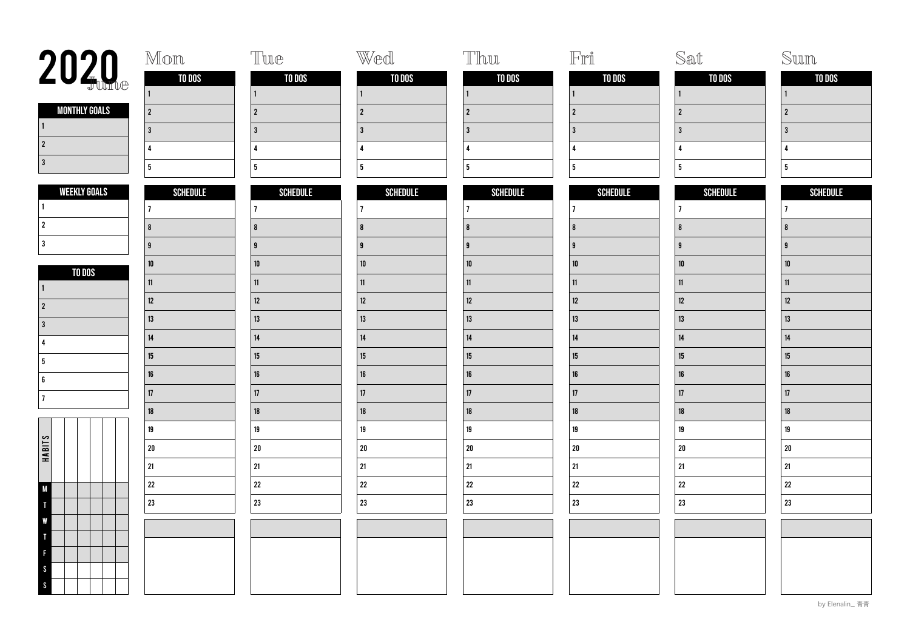| 2020 <sub>the</sub>       | Mon             | Tue             | Wed             | Thu                     | $\mathbb{F}\mathbb{r}\r\mathbb{I}$ | Sat              | Sun             |
|---------------------------|-----------------|-----------------|-----------------|-------------------------|------------------------------------|------------------|-----------------|
|                           | TO DOS          | TO DOS          | TO DOS          | <b>TO DOS</b>           | TO DOS                             | TO DOS           | <b>TO DOS</b>   |
|                           |                 |                 | $\mathbf{1}$    | $\vert$ 1               | $\mathbf{1}$                       | $\mathbf{1}$     | $\vert$ 1       |
| <b>MONTHLY GOALS</b><br>1 | $\vert$ 2       | $\overline{2}$  | $\overline{2}$  | $\overline{2}$          | $\overline{2}$                     | $\overline{2}$   | $\overline{2}$  |
| $\vert$ 2                 | $\overline{3}$  | $\overline{3}$  | $\mathbf{3}$    | $\overline{\mathbf{3}}$ | $\overline{\mathbf{3}}$            | $\overline{3}$   | $\overline{3}$  |
| 3                         | $\overline{4}$  | $\overline{4}$  | $\pmb{\Lambda}$ | $\overline{4}$          | $\overline{4}$                     | $\overline{4}$   | $\mathbf{A}$    |
|                           | 5               | 5               | 5 <sub>5</sub>  | $5\phantom{a}$          | $5\phantom{a}$                     | $5\phantom{.0}$  | 5               |
| <b>WEEKLY GOALS</b>       | <b>SCHEDULE</b> | <b>SCHEDULE</b> | <b>SCHEDULE</b> | <b>SCHEDULE</b>         | <b>SCHEDULE</b>                    | SCHEDULE         | <b>SCHEDULE</b> |
|                           | $\overline{7}$  | $\overline{1}$  | $\overline{1}$  | $\overline{7}$          | $\overline{7}$                     | $\overline{1}$   | 7               |
| $\vert$ 2                 | $\vert$ 8       | 8               | 8               | 8                       | $\pmb{8}$                          | $\boldsymbol{8}$ | $\overline{8}$  |
| l 3                       | 9               | $\overline{9}$  | $\overline{9}$  | <b>g</b>                | 9                                  | $\overline{9}$   | $\mathbf{g}$    |
| TO DOS                    | ${\bf 10}$      | ${\bf 10}$      | $10\,$          | ${\bf 10}$              | ${\bf 10}$                         | $10\,$           | 10              |
|                           | 11              | 11              | 11              | 11                      | 11                                 | $11$             | 11              |
| 2                         | 12              | $12\,$          | $12\,$          | 12                      | $12\,$                             | $12\,$           | 12              |
| l 3                       | 13              | 13              | 13              | 13                      | 13                                 | 13               | 13              |
| $\mathbf{A}$              | 14              | 14              | 14              | 14                      | $14\,$                             | $14$             | 14              |
| 5                         | $15\,$          | 15              | 15              | $15\,$                  | $15\,$                             | 15               | 15              |
| 6                         | $16\,$          | 16              | 16              | $16\,$                  | 16                                 | $16\,$           | 16              |
| 17                        | 17              | 17              | 17              | $17\,$                  | $17\,$                             | $17\,$           | 17              |
|                           | $18\,$          | $18\,$          | $18\,$          | $18\,$                  | 18                                 | ${\bf 18}$       | $18\,$          |
|                           | 19              | 19              | 19              | $19\,$                  | 19                                 | 19               | 19              |
| HABITS                    | 20              | 20              | ${\bf 20}$      | ${\bf 20}$              | ${\bf 20}$                         | ${\bf 20}$       | ${\bf 20}$      |
|                           | 21              | 21              | 21              | 21                      | $21\,$                             | 21               | 21              |
| <b>M</b>                  | 22              | 22              | $22\,$          | 22                      | 22                                 | ${\bf 22}$       | $\bf 22$        |
|                           | 23              | 23              | 23              | 23                      | 23                                 | ${\bf 23}$       | 23              |
| W                         |                 |                 |                 |                         |                                    |                  |                 |
|                           |                 |                 |                 |                         |                                    |                  |                 |
|                           |                 |                 |                 |                         |                                    |                  |                 |
| <sub>S</sub>              |                 |                 |                 |                         |                                    |                  |                 |
| $\mathsf{S}$              |                 |                 |                 |                         |                                    |                  |                 |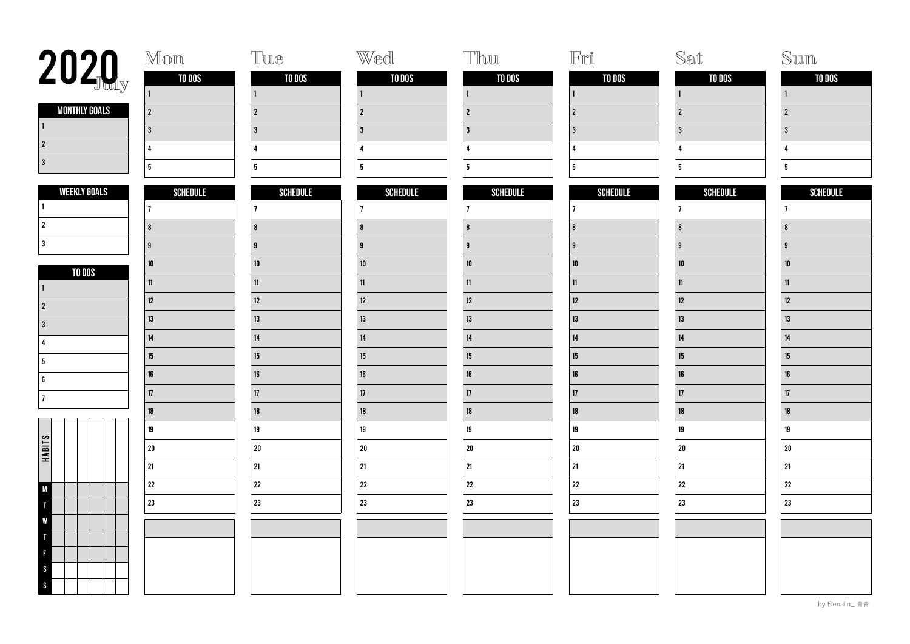| <b>2020</b>               | Mon             | Tue             | Wed             | Thu             | $\mathbb{F}\mathbb{r}\r$ | Sat             | Sum             |
|---------------------------|-----------------|-----------------|-----------------|-----------------|--------------------------|-----------------|-----------------|
|                           | TO DOS          | TO DOS          | TO DOS          | <b>TO DOS</b>   | TO DOS                   | TO DOS          | TO DOS          |
|                           | $\vert$ 1       |                 | $\mathbf{1}$    | $\vert$ 1       | $\vert$ 1                |                 | $\mathbf{1}$    |
| <b>MONTHLY GOALS</b><br>1 | $\vert$ 2       | $\overline{2}$  | $\overline{2}$  | $\overline{2}$  | $\overline{2}$           | $\overline{2}$  | $\overline{2}$  |
| $\vert$ 2                 | 3               | $\mathbf{3}$    | $\overline{3}$  | $\overline{3}$  | $\overline{\mathbf{3}}$  | $\overline{3}$  | 3               |
| $\vert$ 3                 | $\overline{4}$  | $\overline{4}$  | $\pmb{\Lambda}$ | $\pmb{\Lambda}$ | $\overline{4}$           | $\overline{4}$  | $\overline{4}$  |
|                           | $5\phantom{a}$  | $5\phantom{a}$  | $5\phantom{a}$  | 5 <sup>5</sup>  | 5 <sup>5</sup>           | $5\phantom{a}$  | 5 <sub>5</sub>  |
| <b>WEEKLY GOALS</b>       | <b>SCHEDULE</b> | <b>SCHEDULE</b> | <b>SCHEDULE</b> | <b>SCHEDULE</b> | <b>SCHEDULE</b>          | <b>SCHEDULE</b> | <b>SCHEDULE</b> |
|                           | $ 7\rangle$     | $\overline{7}$  | $\overline{1}$  | $\overline{7}$  | $ 7\rangle$              | $\overline{1}$  | $\overline{1}$  |
| $\vert$ 2                 | 8               | $\bf{8}$        | 8               | 8               | $\pmb{8}$                | 8               | 8               |
| 3                         | 9               | $\overline{9}$  | $\mathbf{g}$    | g               | 9                        | $\overline{9}$  | $\mathbf{g}$    |
| TO DOS                    | ${\bf 10}$      | $10$            | $10\,$          | ${\bf 10}$      | 10                       | $10\,$          | 10              |
|                           | $\mathbf{11}$   | 11              | 11              | 11              | $11$                     | 11              | 11              |
| $\vert$ 2                 | 12              | 12              | 12              | $12\,$          | $12\,$                   | 12              | 12              |
| 3                         | 13              | 13              | 13              | 13              | 13                       | 13              | 13              |
| 4                         | $14$            | $14$            | 14              | $14\,$          | $14\,$                   | 14              | $14\,$          |
| 5                         | 15              | 15              | 15              | $15\,$          | $15\,$                   | 15              | 15              |
| 6                         | $16\,$          | $16\,$          | $16\,$          | $16\,$          | 16                       | $16\,$          | 16              |
| 17                        | $17\,$          | 17              | 17              | 17              | $17\,$                   | 17              | 17              |
|                           | $18\,$          | 18              | 18              | $18\,$          | $18\,$                   | $18\,$          | 18              |
|                           | $19\,$          | $19\,$          | 19              | $19\,$          | 19                       | 19              | 19              |
| HABITS                    | 20              | ${\bf 20}$      | $20\,$          | $20\,$          | ${\bf 20}$               | ${\bf 20}$      | $20\,$          |
|                           | 21              | 21              | 21              | 21              | $21\,$                   | $21\,$          | 21              |
| M                         | 22              | ${\bf 22}$      | ${\bf 22}$      | 22              | ${\bf 22}$               | ${\bf 22}$      | $22\,$          |
|                           | 23              | 23              | ${\bf 23}$      | 23              | 23                       | 23              | ${\bf 23}$      |
|                           |                 |                 |                 |                 |                          |                 |                 |
|                           |                 |                 |                 |                 |                          |                 |                 |
|                           |                 |                 |                 |                 |                          |                 |                 |
| -S                        |                 |                 |                 |                 |                          |                 |                 |
| S                         |                 |                 |                 |                 |                          |                 |                 |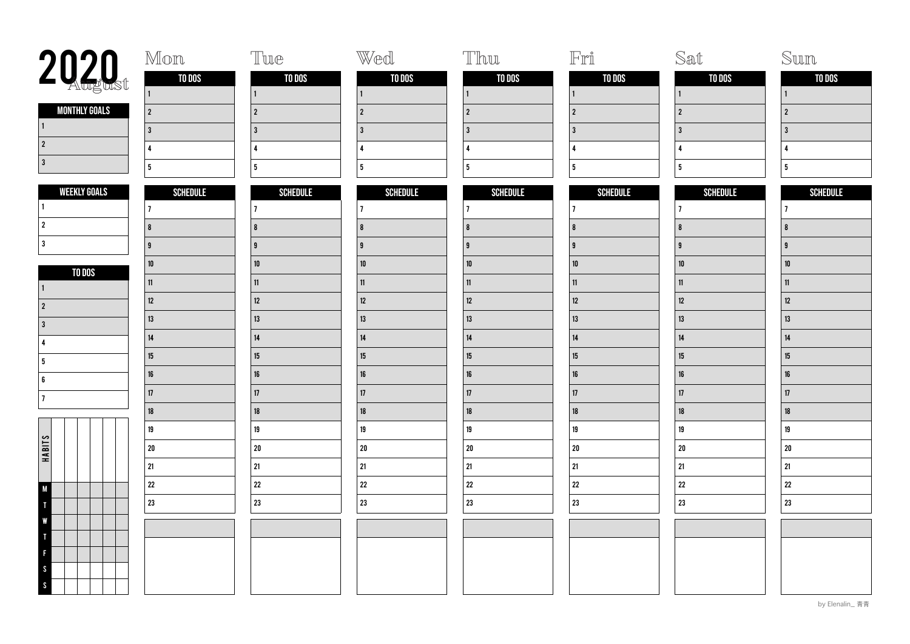| 2020                              | Mon             | Tue             | Wed             | Thu                     | $\mathbb{F}$ rî         | Sat             | Sun             |
|-----------------------------------|-----------------|-----------------|-----------------|-------------------------|-------------------------|-----------------|-----------------|
|                                   | TO DOS          | TO DOS          | TO DOS          | TO DOS                  | TO DOS                  | TO DOS          | TO DOS          |
|                                   |                 |                 | $\mathbf{1}$    | $\vert$ 1               | $\mathbf{1}$            | $\mathbf{1}$    | l 1             |
| <b>MONTHLY GOALS</b><br>$\vert$ 1 | $\vert$ 2       | $\overline{2}$  | $\overline{2}$  | $\overline{2}$          | $\overline{2}$          | $\overline{2}$  | $\overline{2}$  |
| $\vert$ 2                         | $\overline{3}$  | $\overline{3}$  | $\mathbf{3}$    | $\overline{\mathbf{3}}$ | $\overline{\mathbf{3}}$ | $\overline{3}$  | $\overline{3}$  |
| 3                                 | $\overline{4}$  | $\overline{4}$  | 4               | $\pmb{\Lambda}$         | $\overline{\mathbf{4}}$ | $\overline{4}$  | $\mathbf{A}$    |
|                                   | 5               | 5               | 5 <sub>5</sub>  | $5\phantom{a}$          | $5\phantom{a}$          | $5\phantom{.0}$ | 5               |
| <b>WEEKLY GOALS</b>               | <b>SCHEDULE</b> | <b>SCHEDULE</b> | <b>SCHEDULE</b> | <b>SCHEDULE</b>         | <b>SCHEDULE</b>         | <b>SCHEDULE</b> | <b>SCHEDULE</b> |
|                                   | $\overline{1}$  | $\overline{1}$  | $\overline{1}$  | $\overline{7}$          | $\overline{7}$          | $\overline{7}$  | $\overline{7}$  |
| $\overline{2}$                    | $\vert$ 8       | 8               | 8               | $\overline{\mathbf{8}}$ | $\pmb{8}$               | $\pmb{8}$       | $\overline{8}$  |
| 3                                 | 9               | $\overline{9}$  | $\overline{9}$  | <b>g</b>                | <b>g</b>                | $\overline{9}$  | $\mathbf{q}$    |
| TO DOS                            | ${\bf 10}$      | $10\,$          | 10              | $10\,$                  | ${\bf 10}$              | $10\,$          | 10              |
| ∣ 1                               | 11              | 11              | 11              | 11                      | $11\,$                  | $11$            | 11              |
| $\vert$ 2                         | $12\,$          | 12              | 12              | $12\,$                  | 12                      | $12\,$          | 12              |
| l 3                               | $13\,$          | 13              | 13              | 13                      | $13\,$                  | 13              | 13              |
| $\mathbf{A}$                      | 14              | $14\,$          | $14\,$          | $14\,$                  | $14\,$                  | $14\,$          | 14              |
| 5                                 | 15              | 15              | 15              | $15\,$                  | $15\,$                  | 15              | 15              |
| 6                                 | $16\,$          | 16              | 16              | $16\,$                  | 16                      | $16\,$          | 16              |
| 17                                | 17              | 17              | 17              | 17                      | $17\,$                  | 17              | 17              |
|                                   | $18\,$          | 18              | 18              | $18\,$                  | 18                      | $18\,$          | 18              |
|                                   | 19              | 19              | 19              | 19                      | 19                      | $19\,$          | 19              |
| HABITS                            | 20              | 20              | $20\,$          | $20\,$                  | ${\bf 20}$              | ${\bf 20}$      | ${\bf 20}$      |
|                                   | 21              | 21              | 21              | 21                      | $21\,$                  | $21\,$          | 21              |
| <b>M</b>                          | 22              | 22              | 22              | 22                      | $22\,$                  | ${\bf 22}$      | $\bf 22$        |
|                                   | 23              | 23              | 23              | 23                      | 23                      | ${\bf 23}$      | 23              |
| v                                 |                 |                 |                 |                         |                         |                 |                 |
|                                   |                 |                 |                 |                         |                         |                 |                 |
|                                   |                 |                 |                 |                         |                         |                 |                 |
| <sub>S</sub>                      |                 |                 |                 |                         |                         |                 |                 |
| $\mathcal{S}_{\mathcal{S}}$       |                 |                 |                 |                         |                         |                 |                 |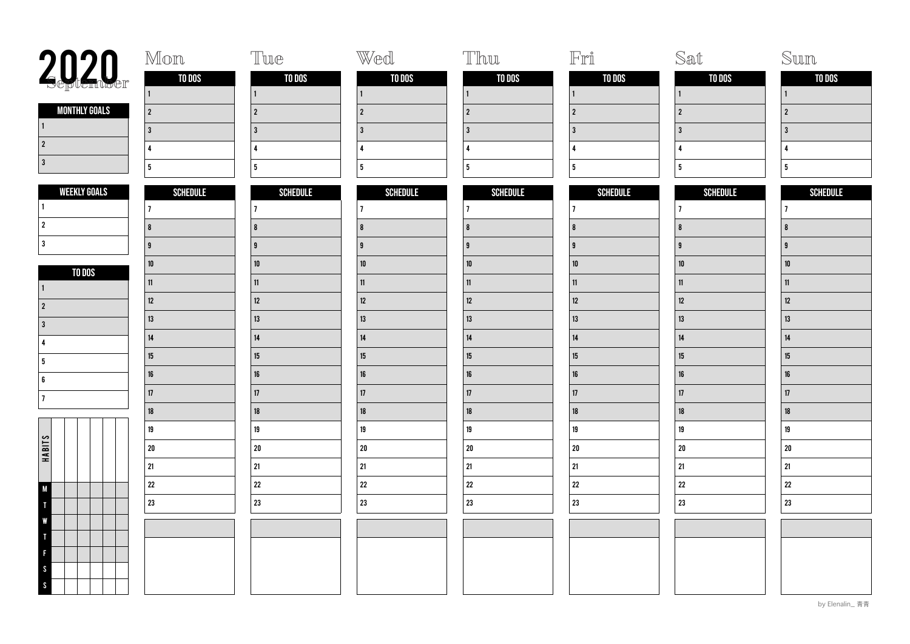| 2020                      | Mon             | Tue             | Wed             | Thu                     | $\mathbb{F}\mathbb{r}\r\mathbb{I}$ | Sat             | Sun             |
|---------------------------|-----------------|-----------------|-----------------|-------------------------|------------------------------------|-----------------|-----------------|
|                           | TO DOS          | TO DOS          | TO DOS          | TO DOS                  | TO DOS                             | TO DOS          | TO DOS          |
|                           |                 |                 | $\mathbf{1}$    | $\vert$ 1               | $\mathbf{1}$                       | $\mathbf{1}$    | $\vert$ 1       |
| <b>MONTHLY GOALS</b><br>1 | $\vert$ 2       | $\overline{2}$  | $\overline{2}$  | $\overline{2}$          | $\overline{2}$                     | $\overline{2}$  | $\overline{2}$  |
| $\vert$ 2                 | $\overline{3}$  | $\overline{3}$  | $\mathbf{3}$    | $\overline{\mathbf{3}}$ | $\overline{\mathbf{3}}$            | $\overline{3}$  | $\overline{3}$  |
| 3                         | $\overline{4}$  | $\overline{4}$  | 4               | $\pmb{\Lambda}$         | $\overline{\mathbf{4}}$            | $\overline{4}$  | $\mathbf{A}$    |
|                           | 5               | 5               | 5 <sub>5</sub>  | $5\phantom{a}$          | $5\phantom{a}$                     | $5\phantom{.0}$ | 5               |
| <b>WEEKLY GOALS</b>       | <b>SCHEDULE</b> | <b>SCHEDULE</b> | <b>SCHEDULE</b> | <b>SCHEDULE</b>         | <b>SCHEDULE</b>                    | <b>SCHEDULE</b> | <b>SCHEDULE</b> |
|                           | $\overline{1}$  | $\overline{1}$  | $\overline{1}$  | $\overline{7}$          | $\overline{7}$                     | $\overline{7}$  | $\overline{7}$  |
| $\overline{2}$            | $\vert$ 8       | 8               | 8               | $\overline{\mathbf{8}}$ | $\pmb{8}$                          | $\pmb{8}$       | $\overline{8}$  |
| 3                         | 9               | $\overline{9}$  | $\overline{9}$  | <b>g</b>                | <b>g</b>                           | $\overline{9}$  | $\mathbf{q}$    |
| TO DOS                    | ${\bf 10}$      | $10\,$          | 10              | $10\,$                  | ${\bf 10}$                         | $10\,$          | 10              |
| ∣ 1                       | 11              | 11              | 11              | 11                      | $11\,$                             | 11              | 11              |
| $\vert$ 2                 | $12\,$          | 12              | 12              | $12\,$                  | 12                                 | $12\,$          | 12              |
| l 3                       | $13\,$          | 13              | 13              | 13                      | $13\,$                             | 13              | 13              |
| $\boldsymbol{\Lambda}$    | 14              | $14\,$          | $14\,$          | $14\,$                  | $14\,$                             | $14\,$          | 14              |
| 5                         | 15              | 15              | 15              | $15\,$                  | $15\,$                             | 15              | 15              |
| 6                         | $16\,$          | 16              | 16              | $16\,$                  | 16                                 | $16\,$          | 16              |
| 17                        | 17              | 17              | 17              | 17                      | $17\,$                             | 17              | 17              |
|                           | $18\,$          | 18              | 18              | $18\,$                  | 18                                 | $18\,$          | 18              |
|                           | 19              | 19              | 19              | 19                      | 19                                 | $19\,$          | 19              |
| HABITS                    | 20              | 20              | $20\,$          | ${\bf 20}$              | ${\bf 20}$                         | ${\bf 20}$      | ${\bf 20}$      |
|                           | 21              | 21              | 21              | 21                      | $21\,$                             | $21\,$          | 21              |
| <b>M</b>                  | 22              | 22              | 22              | 22                      | $22\,$                             | ${\bf 22}$      | $\bf 22$        |
|                           | 23              | 23              | 23              | 23                      | 23                                 | ${\bf 23}$      | 23              |
| v                         |                 |                 |                 |                         |                                    |                 |                 |
|                           |                 |                 |                 |                         |                                    |                 |                 |
|                           |                 |                 |                 |                         |                                    |                 |                 |
| <sub>S</sub>              |                 |                 |                 |                         |                                    |                 |                 |
| $\mathcal{S}$             |                 |                 |                 |                         |                                    |                 |                 |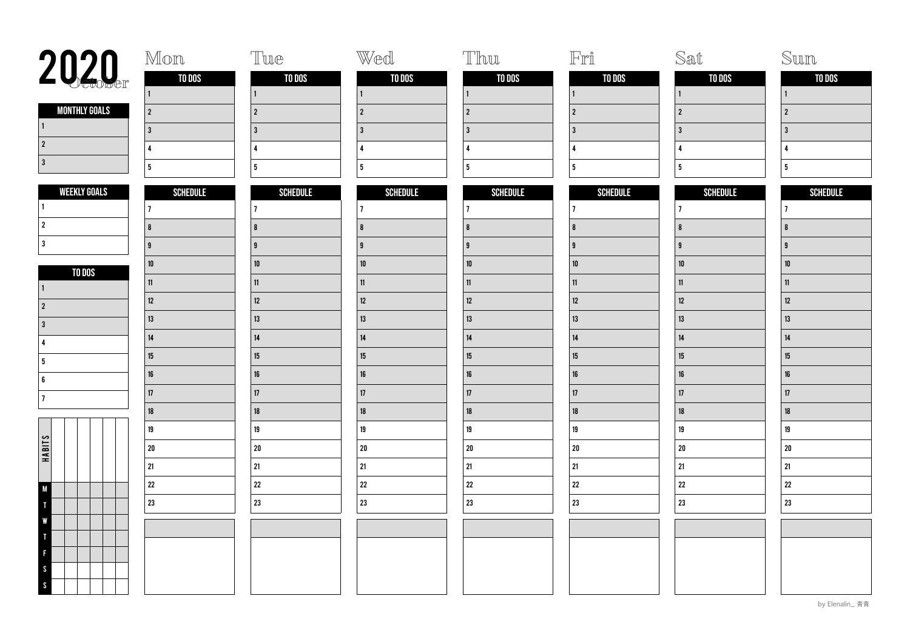| 2020                          | Mon             | Tue             | Wed             | Thu              | $\mathbb{F}\mathbb{r}\r\mathbb{I}$ | Sat              | Sum             |
|-------------------------------|-----------------|-----------------|-----------------|------------------|------------------------------------|------------------|-----------------|
|                               | TO DOS          | TO DOS          | TO DOS          | TO DOS           | TO DOS                             | TO DOS           | TO DOS          |
|                               | $\mathbf{1}$    | $\mathbf{1}$    | $\mathbf{1}$    | $\vert$ 1        | $\mathbf{1}$                       | $\mathbf{1}$     | $\vert$ 1       |
| <b>MONTHLY GOALS</b><br>  1   | $\overline{2}$  | $\overline{2}$  | $\overline{2}$  | $\overline{2}$   | $\overline{2}$                     | $\overline{2}$   | $\overline{2}$  |
|                               | 3               | $\overline{3}$  | $\overline{3}$  | 3                | $\overline{3}$                     | $\overline{3}$   | $\overline{3}$  |
| $\vert$ 2                     | $\overline{4}$  | $\overline{4}$  | 4               | $\overline{4}$   | $\overline{4}$                     | $\overline{4}$   | $\mathbf{A}$    |
| 3                             | 5               | 5               | 5 <sub>5</sub>  | $5\phantom{a}$   | $5\phantom{a}$                     | $5\phantom{a}$   | $5\phantom{.0}$ |
| <b>WEEKLY GOALS</b>           | <b>SCHEDULE</b> | <b>SCHEDULE</b> | <b>SCHEDULE</b> | <b>SCHEDULE</b>  | <b>SCHEDULE</b>                    | <b>SCHEDULE</b>  | <b>SCHEDULE</b> |
|                               | $\overline{7}$  | $\overline{1}$  | $\overline{1}$  | $\overline{7}$   | $\overline{7}$                     | $\overline{7}$   | 17              |
| $\overline{2}$                | $\vert$ 8       | 8               | 8               | $\boldsymbol{8}$ | $\pmb{8}$                          | $\boldsymbol{8}$ | $\overline{8}$  |
| l 3                           | 9               | 9               | $\mathbf{g}$    | g                | 9                                  | $\mathbf{g}$     | $\mathbf{q}$    |
| TO DOS                        | ${\bf 10}$      | ${\bf 10}$      | ${\bf 10}$      | ${\bf 10}$       | ${\bf 10}$                         | $10\,$           | ${\bf 10}$      |
|                               | 11              | 11              | 11              | 11               | 11                                 | 11               | 11              |
| $\overline{2}$                | 12              | 12              | $12\,$          | 12               | $12\,$                             | $12\,$           | 12              |
| l 3                           | 13              | 13              | 13              | 13               | 13                                 | 13               | 13              |
| $\overline{\mathbf{A}}$       | 14              | 14              | 14              | 14               | $14\,$                             | $14$             | 14              |
| 5                             | $15\,$          | 15              | 15              | $15\,$           | $15\,$                             | 15               | 15              |
| 6                             | $16\,$          | $16\,$          | $16\,$          | $16\,$           | 16                                 | $16\,$           | 16              |
| 17                            | 17              | 17              | 17              | 17               | $17\,$                             | 17               | 17              |
|                               | $18\,$          | 18              | 18              | $18\,$           | 18                                 | $18\,$           | $18\,$          |
|                               | 19              | 19              | 19              | $19\,$           | 19                                 | 19               | 19              |
| HABITS                        | 20              | 20              | ${\bf 20}$      | $20\,$           | ${\bf 20}$                         | ${\bf 20}$       | ${\bf 20}$      |
|                               | 21              | 21              | 21              | 21               | $21\,$                             | $21\,$           | 21              |
| M                             | 22              | 22              | 22              | $22\,$           | $22\,$                             | ${\bf 22}$       | $\bf 22$        |
|                               | 23              | 23              | 23              | 23               | 23                                 | 23               | 23              |
| W                             |                 |                 |                 |                  |                                    |                  |                 |
|                               |                 |                 |                 |                  |                                    |                  |                 |
| F                             |                 |                 |                 |                  |                                    |                  |                 |
| <sub>S</sub><br>$\mathcal{S}$ |                 |                 |                 |                  |                                    |                  |                 |
|                               |                 |                 |                 |                  |                                    |                  |                 |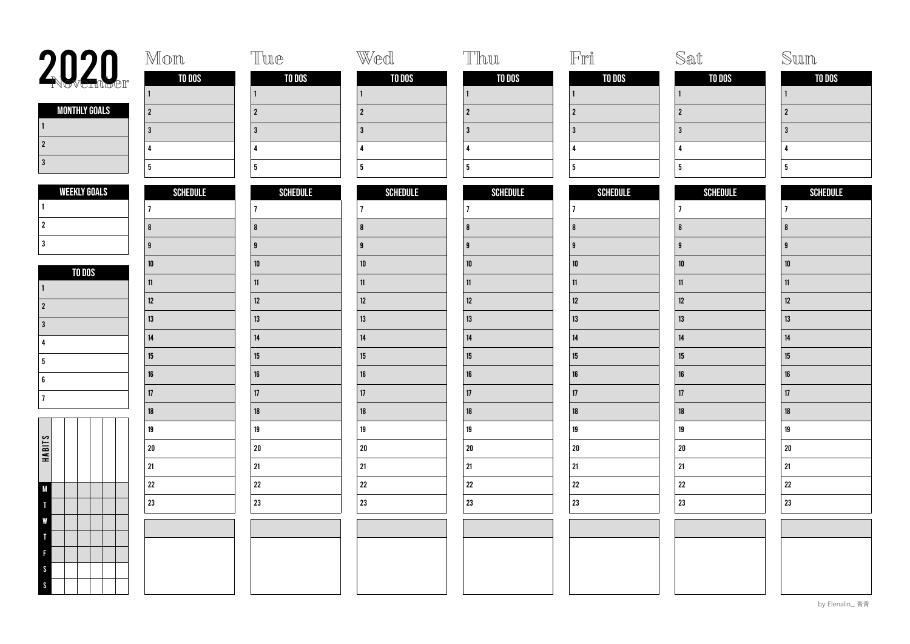| 2020                              | Mon             | Tue                     | Wed              | Thu                     | $\mathbb{F}\mathbb{r}\r\mathbb{I}$ | Sat              | Sun              |
|-----------------------------------|-----------------|-------------------------|------------------|-------------------------|------------------------------------|------------------|------------------|
|                                   | TO DOS          | TO DOS                  | TO DOS           | TO DOS                  | TO DOS                             | TO DOS           | TO DOS           |
|                                   | $\vert$ 1       | $\mathbf{1}$            | $\mathbf{1}$     | $\vert$ 1               | $\vert$ 1                          |                  | $\mathbf{1}$     |
| <b>MONTHLY GOALS</b><br>$\vert$ 1 | $\vert$ 2       | $\sqrt{2}$              | $\boldsymbol{2}$ | $\overline{2}$          | $\overline{2}$                     | $\overline{2}$   | $2^{\circ}$      |
| $\sqrt{2}$                        | 3               | $\overline{3}$          | $\overline{3}$   | $\overline{3}$          | $\overline{3}$                     | $\overline{3}$   | $\overline{3}$   |
| $\vert$ 3                         | $\overline{4}$  | $\overline{4}$          | $\overline{4}$   | $\overline{\mathbf{A}}$ | $\overline{4}$                     | 4                | 4                |
|                                   | $5\phantom{a}$  | $\overline{\mathbf{5}}$ | $5\phantom{a}$   | $5\phantom{a}$          | $5\phantom{a}$                     | $5\phantom{a}$   | 5 <sub>5</sub>   |
| <b>WEEKLY GOALS</b>               | <b>SCHEDULE</b> | <b>SCHEDULE</b>         | <b>SCHEDULE</b>  | <b>SCHEDULE</b>         | <b>SCHEDULE</b>                    | <b>SCHEDULE</b>  | <b>SCHEDULE</b>  |
| $\blacksquare$                    | $ 7\rangle$     | $\overline{7}$          | $\overline{1}$   | $\overline{7}$          | $ 7\rangle$                        | $\overline{7}$   | $ 7\rangle$      |
| $\vert$ 2                         | 8               | $\bf{8}$                | 8                | $\overline{\mathbf{8}}$ | $\pmb{8}$                          | $\boldsymbol{8}$ | 8                |
| 3                                 | 9               | $\mathbf{g}$            | $\mathbf{g}$     | g                       | $\overline{9}$                     | $\overline{9}$   | $\mathbf{g}$     |
| TO DOS                            | ${\bf 10}$      | ${\bf 10}$              | $10\,$           | ${\bf 10}$              | ${\bf 10}$                         | $10\,$           | $10\,$           |
| $\vert$ 1                         | 11              | 11                      | 11               | 11                      | $11\,$                             | 11               | 11               |
| $\vert$ 2                         | $12\,$          | $12\,$                  | $12\,$           | 12                      | $12\,$                             | 12               | 12               |
| 3                                 | $13\,$          | $13\,$                  | 13               | 13                      | 13                                 | 13               | 13               |
| 4                                 | 14              | 14                      | 14               | 14                      | $14\,$                             | 14               | 14               |
| 5                                 | 15              | 15                      | 15               | $15\,$                  | $15\,$                             | 15               | 15 <sub>15</sub> |
| 6                                 | $16\,$          | $16\,$                  | $16\,$           | $16\,$                  | $16\,$                             | 16               | 16 <sup>1</sup>  |
| 17                                | 17              | 17                      | $17\,$           | 17                      | $17\,$                             | $17\,$           | 17               |
|                                   | $18\,$          | $18\,$                  | 18               | $18\,$                  | $18\,$                             | 18               | 18               |
|                                   | 19              | 19                      | 19               | $19\,$                  | $19\,$                             | 19               | 19               |
| HABITS                            | 20              | ${\bf 20}$              | ${\bf 20}$       | $20\,$                  | 20                                 | ${\bf 20}$       | ${\bf 20}$       |
|                                   | 21              | 21                      | 21               | 21                      | $21\,$                             | $21\,$           | 21               |
| $\mathsf{M}$                      | 22              | ${\bf 22}$              | ${\bf 22}$       | 22                      | ${\bf 22}$                         | ${\bf 22}$       | $\bf 22$         |
|                                   | 23              | 23                      | 23               | 23                      | 23                                 | 23               | $23\,$           |
| v                                 |                 |                         |                  |                         |                                    |                  |                  |
|                                   |                 |                         |                  |                         |                                    |                  |                  |
|                                   |                 |                         |                  |                         |                                    |                  |                  |
| <sub>S</sub>                      |                 |                         |                  |                         |                                    |                  |                  |
| $\boldsymbol{\mathsf{S}}$         |                 |                         |                  |                         |                                    |                  |                  |